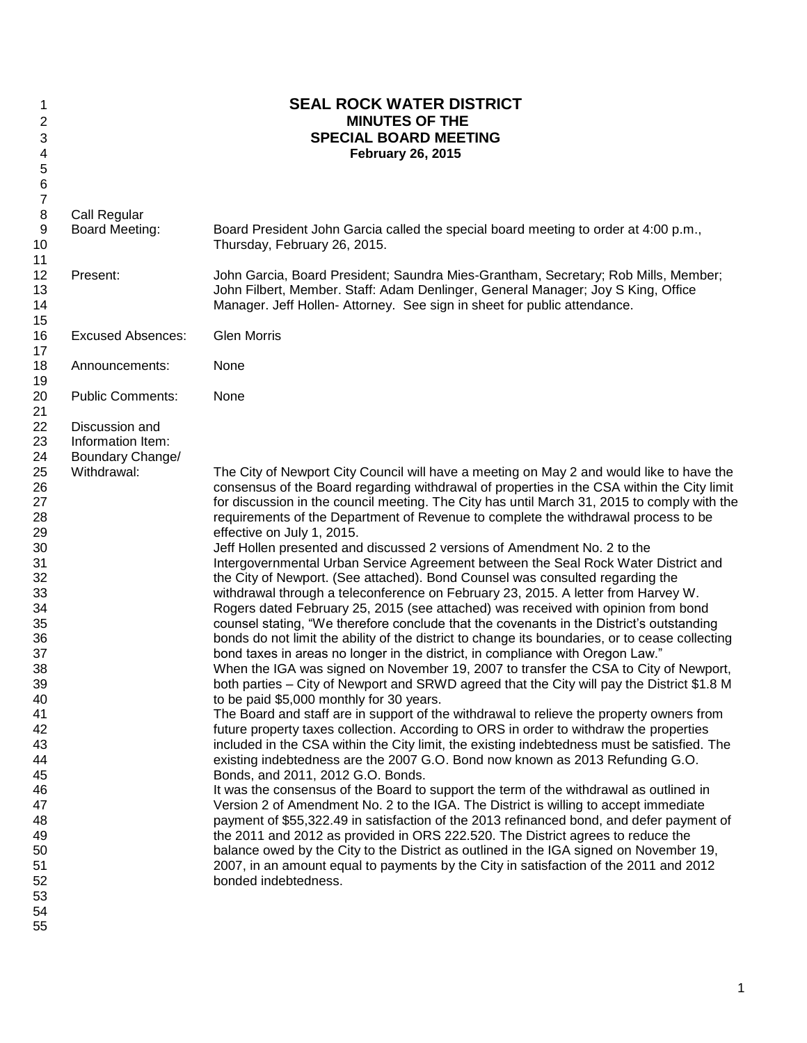| 1                |                          | <b>SEAL ROCK WATER DISTRICT</b>                                                                 |
|------------------|--------------------------|-------------------------------------------------------------------------------------------------|
| 2                |                          | <b>MINUTES OF THE</b>                                                                           |
| 3                |                          | <b>SPECIAL BOARD MEETING</b>                                                                    |
| 4                |                          | <b>February 26, 2015</b>                                                                        |
| 5                |                          |                                                                                                 |
| 6                |                          |                                                                                                 |
| $\boldsymbol{7}$ |                          |                                                                                                 |
| 8                | Call Regular             |                                                                                                 |
| $\boldsymbol{9}$ | <b>Board Meeting:</b>    | Board President John Garcia called the special board meeting to order at 4:00 p.m.,             |
| 10               |                          | Thursday, February 26, 2015.                                                                    |
| 11               |                          |                                                                                                 |
| 12               | Present:                 | John Garcia, Board President; Saundra Mies-Grantham, Secretary; Rob Mills, Member;              |
| 13               |                          | John Filbert, Member. Staff: Adam Denlinger, General Manager; Joy S King, Office                |
| 14               |                          | Manager. Jeff Hollen- Attorney. See sign in sheet for public attendance.                        |
| 15               |                          |                                                                                                 |
| 16               | <b>Excused Absences:</b> | <b>Glen Morris</b>                                                                              |
| 17               |                          |                                                                                                 |
| 18               | Announcements:           | None                                                                                            |
| 19               |                          |                                                                                                 |
| 20               | <b>Public Comments:</b>  | None                                                                                            |
| 21               |                          |                                                                                                 |
| 22               | Discussion and           |                                                                                                 |
| 23               | Information Item:        |                                                                                                 |
| 24               | Boundary Change/         |                                                                                                 |
| 25               | Withdrawal:              | The City of Newport City Council will have a meeting on May 2 and would like to have the        |
| 26               |                          | consensus of the Board regarding withdrawal of properties in the CSA within the City limit      |
| 27               |                          | for discussion in the council meeting. The City has until March 31, 2015 to comply with the     |
| 28               |                          | requirements of the Department of Revenue to complete the withdrawal process to be              |
| 29               |                          | effective on July 1, 2015.                                                                      |
| 30               |                          | Jeff Hollen presented and discussed 2 versions of Amendment No. 2 to the                        |
| 31               |                          | Intergovernmental Urban Service Agreement between the Seal Rock Water District and              |
| 32               |                          | the City of Newport. (See attached). Bond Counsel was consulted regarding the                   |
| 33               |                          | withdrawal through a teleconference on February 23, 2015. A letter from Harvey W.               |
| 34               |                          | Rogers dated February 25, 2015 (see attached) was received with opinion from bond               |
| 35               |                          | counsel stating, "We therefore conclude that the covenants in the District's outstanding        |
| 36               |                          | bonds do not limit the ability of the district to change its boundaries, or to cease collecting |
| 37               |                          | bond taxes in areas no longer in the district, in compliance with Oregon Law."                  |
| 38               |                          | When the IGA was signed on November 19, 2007 to transfer the CSA to City of Newport,            |
| 39               |                          | both parties - City of Newport and SRWD agreed that the City will pay the District \$1.8 M      |
| 40               |                          | to be paid \$5,000 monthly for 30 years.                                                        |
| 41               |                          | The Board and staff are in support of the withdrawal to relieve the property owners from        |
| 42               |                          | future property taxes collection. According to ORS in order to withdraw the properties          |
| 43               |                          | included in the CSA within the City limit, the existing indebtedness must be satisfied. The     |
| 44               |                          | existing indebtedness are the 2007 G.O. Bond now known as 2013 Refunding G.O.                   |
| 45               |                          | Bonds, and 2011, 2012 G.O. Bonds.                                                               |
| 46               |                          | It was the consensus of the Board to support the term of the withdrawal as outlined in          |
| 47               |                          | Version 2 of Amendment No. 2 to the IGA. The District is willing to accept immediate            |
| 48               |                          | payment of \$55,322.49 in satisfaction of the 2013 refinanced bond, and defer payment of        |
| 49               |                          | the 2011 and 2012 as provided in ORS 222.520. The District agrees to reduce the                 |
| 50               |                          | balance owed by the City to the District as outlined in the IGA signed on November 19,          |
| 51               |                          | 2007, in an amount equal to payments by the City in satisfaction of the 2011 and 2012           |
| 52               |                          | bonded indebtedness.                                                                            |
| 53               |                          |                                                                                                 |
| 54               |                          |                                                                                                 |